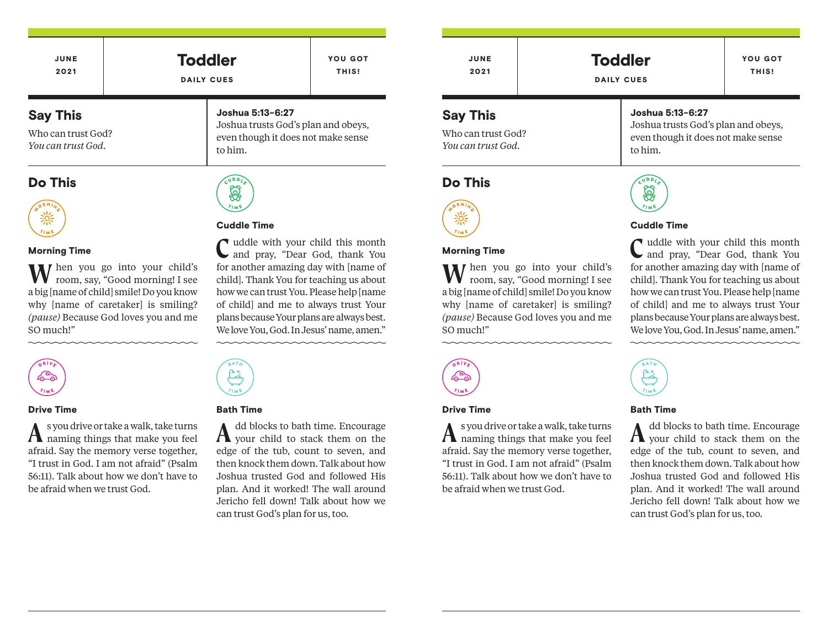| JUNE                                                        | <b>Toddler</b>                                                                                           | <b>YOU GOT</b> |
|-------------------------------------------------------------|----------------------------------------------------------------------------------------------------------|----------------|
| 2021                                                        | <b>DAILY CUES</b>                                                                                        | THIS!          |
| <b>Say This</b><br>Who can trust God?<br>You can trust God. | Joshua 5:13-6:27<br>Joshua trusts God's plan and obeys,<br>even though it does not make sense<br>to him. |                |

## Do This



### Morning Time

**W**hen you go into your child's room, say, "Good morning! I see a big [name of child] smile! Do you know why *[name of caretaker]* is smiling? *(pause)* Because God loves you and me SO much!"



#### Drive Time

⚠

**A**s you drive or take a walk, take turns naming things that make you feel afraid. Say the memory verse together, "I trust in God. I am not afraid" (Psalm 56:11). Talk about how we don't have to be afraid when we trust God.

#### Bath Time

Cuddle Time

A dd blocks to bath time. Encourage your child to stack them on the edge of the tub, count to seven, and then knock them down. Talk about how Joshua trusted God and followed His plan. And it worked! The wall around Jericho fell down! Talk about how we can trust God's plan for us, too.

**C** uddle with your child this month and pray, "Dear God, thank You for another amazing day with [name of child]. Thank You for teaching us about how we can trust You. Please help [name of child] and me to always trust Your plans because Your plans are always best. We love You, God. In Jesus' name, amen."

JUNE 2021

**Toddler** DAILY CUES

Joshua trusts God's plan and obeys, even though it does not make sense

YOU GOT THIS!

# Say This

Who can trust God? *You can trust God.*

# Do This



### Morning Time

**W**hen you go into your child's room, say, "Good morning! I see a big [name of child] smile! Do you know why *[name of caretaker]* is smiling? *(pause)* Because God loves you and me SO much!"



to him.

### Cuddle Time

Joshua 5:13-6:27

**C** uddle with your child this month and pray, "Dear God, thank You for another amazing day with [name of child]. Thank You for teaching us about how we can trust You. Please help [name of child] and me to always trust Your plans because Your plans are always best. We love You, God. In Jesus' name, amen."  $\frac{1}{2}$ 



#### Bath Time

A dd blocks to bath time. Encourage your child to stack them on the edge of the tub, count to seven, and then knock them down. Talk about how Joshua trusted God and followed His plan. And it worked! The wall around Jericho fell down! Talk about how we can trust God's plan for us, too.

డిపా

# Drive Time

**A**s you drive or take a walk, take turns naming things that make you feel afraid. Say the memory verse together, "I trust in God. I am not afraid" (Psalm 56:11). Talk about how we don't have to be afraid when we trust God.